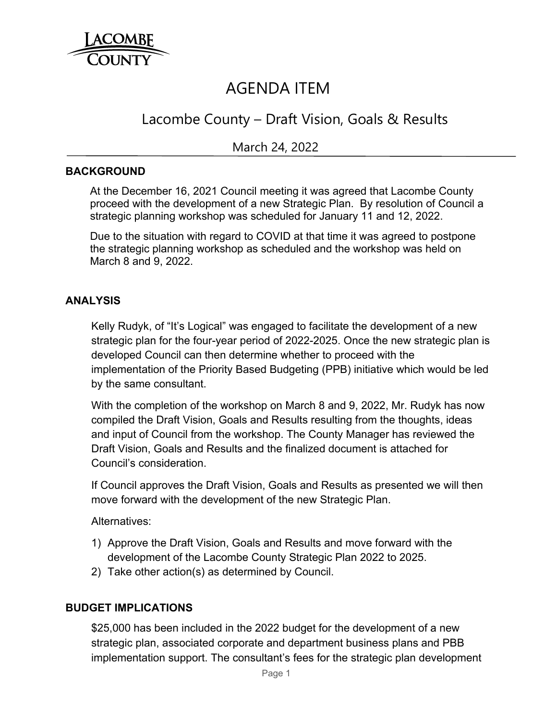

# AGENDA ITEM

## Lacombe County – Draft Vision, Goals & Results

## March 24, 2022

#### **BACKGROUND**

 At the December 16, 2021 Council meeting it was agreed that Lacombe County proceed with the development of a new Strategic Plan. By resolution of Council a strategic planning workshop was scheduled for January 11 and 12, 2022.

 Due to the situation with regard to COVID at that time it was agreed to postpone the strategic planning workshop as scheduled and the workshop was held on March 8 and 9, 2022.

#### **ANALYSIS**

Kelly Rudyk, of "It's Logical" was engaged to facilitate the development of a new strategic plan for the four-year period of 2022-2025. Once the new strategic plan is developed Council can then determine whether to proceed with the implementation of the Priority Based Budgeting (PPB) initiative which would be led by the same consultant.

With the completion of the workshop on March 8 and 9, 2022, Mr. Rudyk has now compiled the Draft Vision, Goals and Results resulting from the thoughts, ideas and input of Council from the workshop. The County Manager has reviewed the Draft Vision, Goals and Results and the finalized document is attached for Council's consideration.

If Council approves the Draft Vision, Goals and Results as presented we will then move forward with the development of the new Strategic Plan.

Alternatives:

- 1) Approve the Draft Vision, Goals and Results and move forward with the development of the Lacombe County Strategic Plan 2022 to 2025.
- 2) Take other action(s) as determined by Council.

#### **BUDGET IMPLICATIONS**

\$25,000 has been included in the 2022 budget for the development of a new strategic plan, associated corporate and department business plans and PBB implementation support. The consultant's fees for the strategic plan development